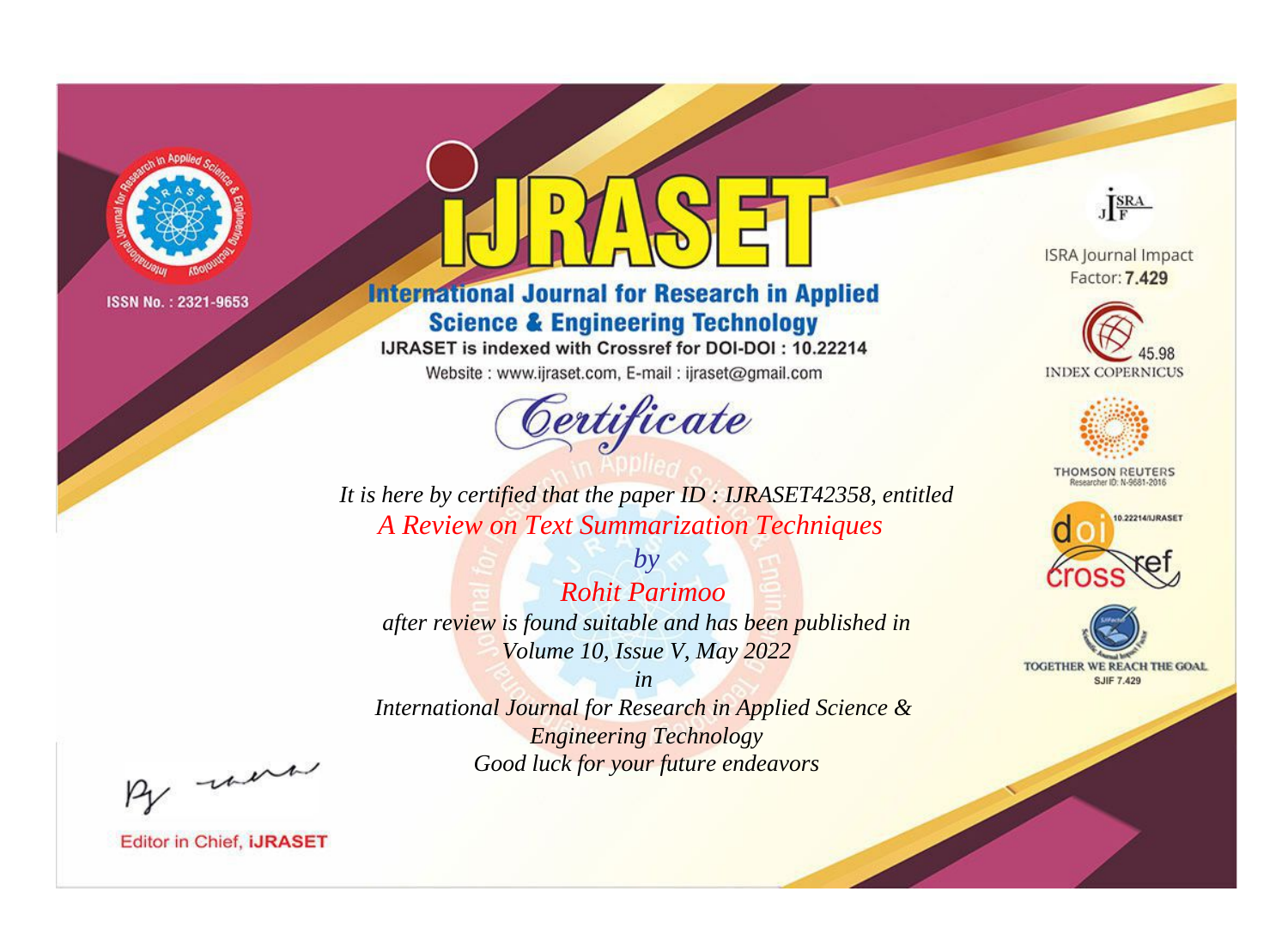

# **International Journal for Research in Applied Science & Engineering Technology**

IJRASET is indexed with Crossref for DOI-DOI: 10.22214

Website: www.ijraset.com, E-mail: ijraset@gmail.com



JERA **ISRA Journal Impact** 

Factor: 7.429





**THOMSON REUTERS** 



TOGETHER WE REACH THE GOAL **SJIF 7.429** 

*It is here by certified that the paper ID : IJRASET42358, entitled A Review on Text Summarization Techniques*

*by Rohit Parimoo after review is found suitable and has been published in Volume 10, Issue V, May 2022*

*in* 

*International Journal for Research in Applied Science & Engineering Technology Good luck for your future endeavors*

By morn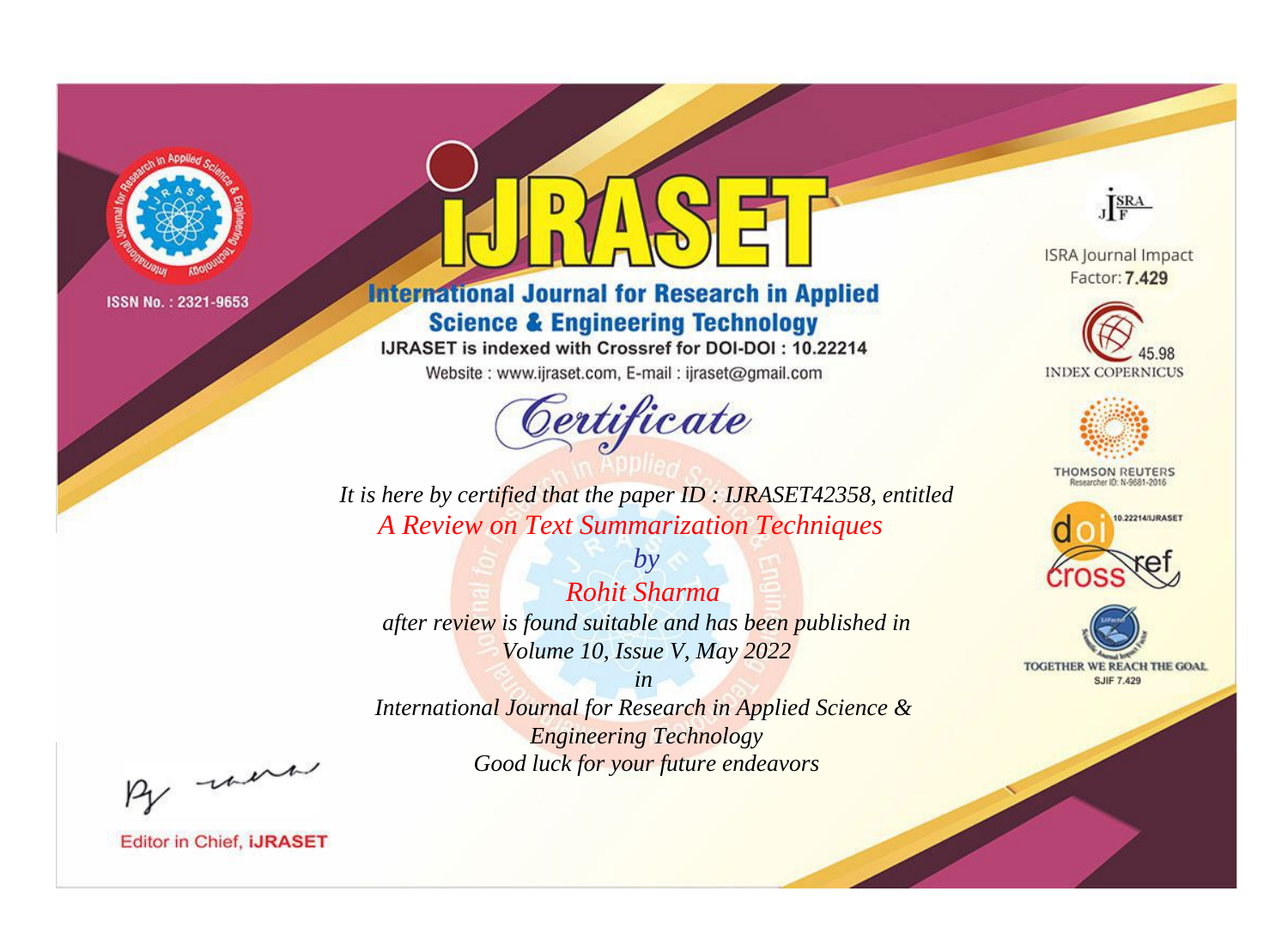

# **International Journal for Research in Applied Science & Engineering Technology**

IJRASET is indexed with Crossref for DOI-DOI: 10.22214

Website: www.ijraset.com, E-mail: ijraset@gmail.com



JERA **ISRA Journal Impact** 

Factor: 7.429





**THOMSON REUTERS** 



TOGETHER WE REACH THE GOAL **SJIF 7.429** 

*It is here by certified that the paper ID : IJRASET42358, entitled A Review on Text Summarization Techniques*

*by Rohit Sharma after review is found suitable and has been published in Volume 10, Issue V, May 2022*

*in* 

*International Journal for Research in Applied Science & Engineering Technology Good luck for your future endeavors*

By morn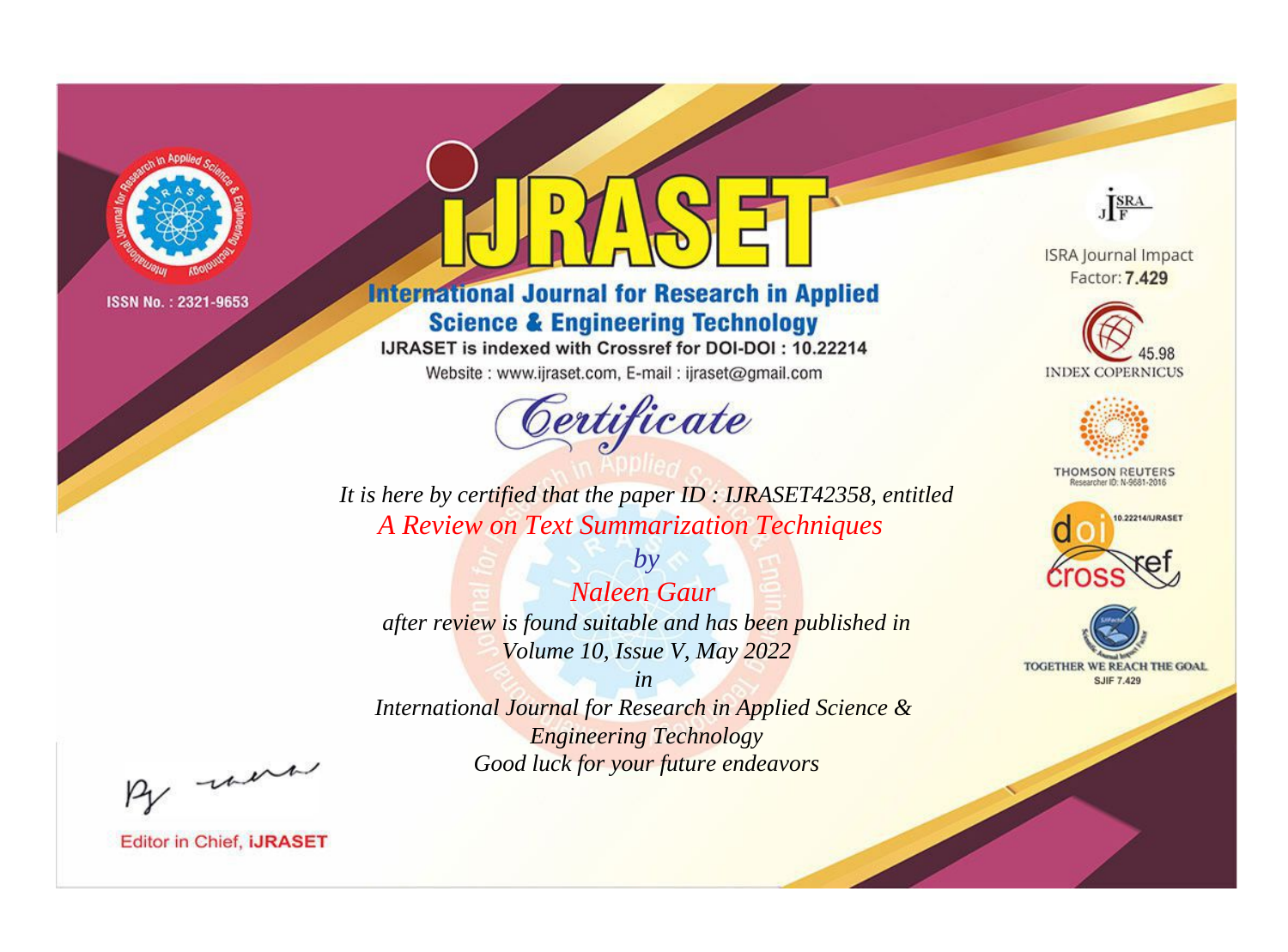

# **International Journal for Research in Applied Science & Engineering Technology**

IJRASET is indexed with Crossref for DOI-DOI: 10.22214

Website: www.ijraset.com, E-mail: ijraset@gmail.com



JERA

**ISRA Journal Impact** Factor: 7.429





**THOMSON REUTERS** 



TOGETHER WE REACH THE GOAL **SJIF 7.429** 

*It is here by certified that the paper ID : IJRASET42358, entitled A Review on Text Summarization Techniques*

*by Naleen Gaur after review is found suitable and has been published in Volume 10, Issue V, May 2022*

*in* 

*International Journal for Research in Applied Science & Engineering Technology Good luck for your future endeavors*

By morn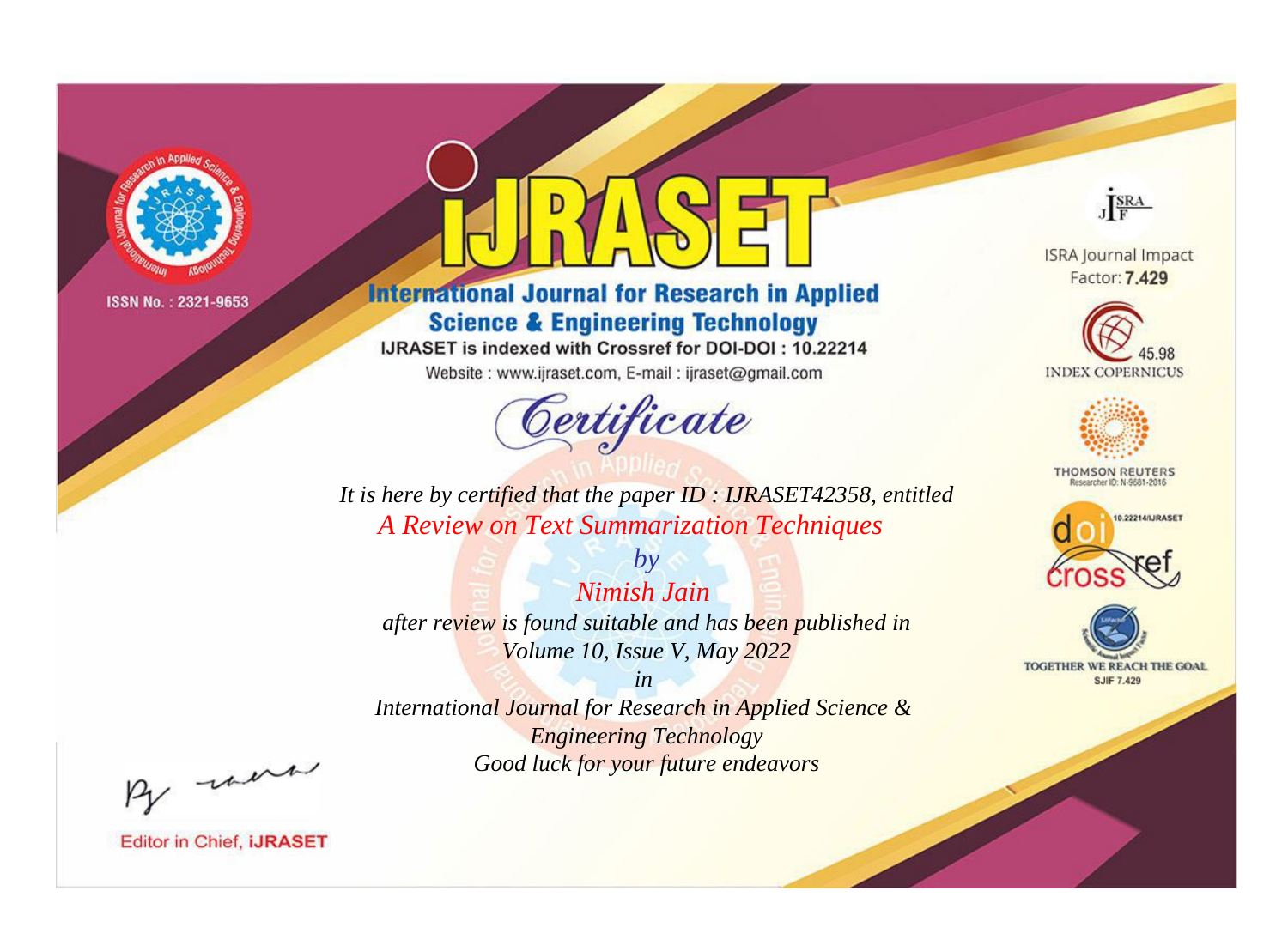

# **International Journal for Research in Applied Science & Engineering Technology**

IJRASET is indexed with Crossref for DOI-DOI: 10.22214

Website: www.ijraset.com, E-mail: ijraset@gmail.com



JERA

**ISRA Journal Impact** Factor: 7.429





**THOMSON REUTERS** 



TOGETHER WE REACH THE GOAL **SJIF 7.429** 

*It is here by certified that the paper ID : IJRASET42358, entitled A Review on Text Summarization Techniques*

*Nimish Jain after review is found suitable and has been published in Volume 10, Issue V, May 2022*

*by*

*in* 

*International Journal for Research in Applied Science & Engineering Technology Good luck for your future endeavors*

By morn